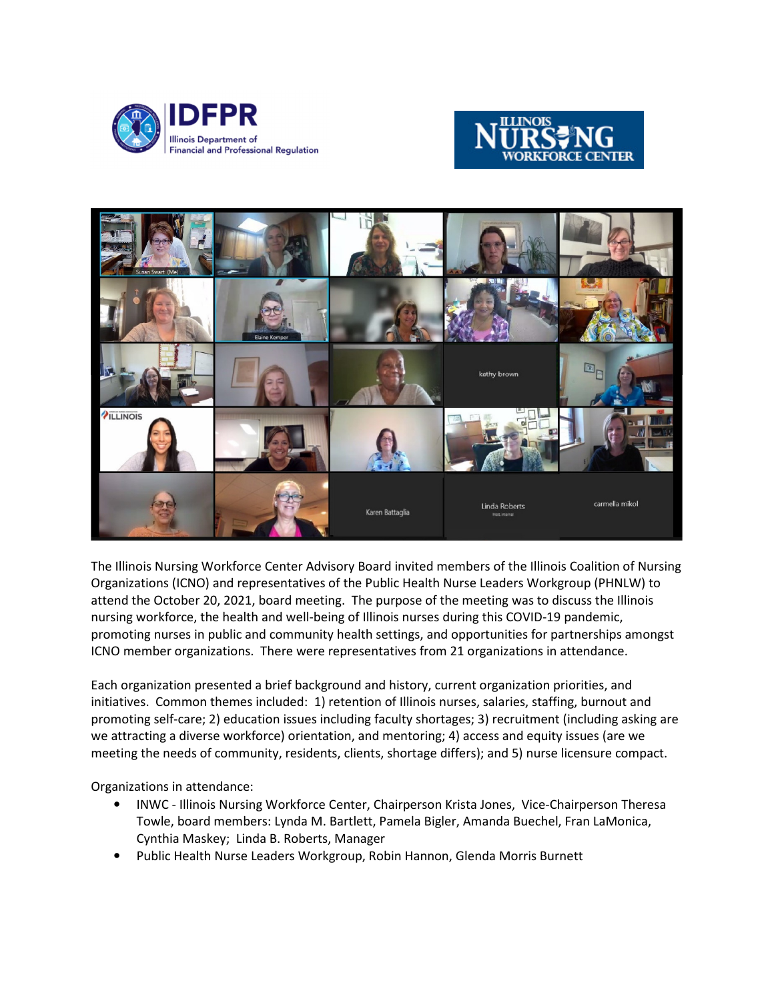





The Illinois Nursing Workforce Center Advisory Board invited members of the Illinois Coalition of Nursing Organizations (ICNO) and representatives of the Public Health Nurse Leaders Workgroup (PHNLW) to attend the October 20, 2021, board meeting. The purpose of the meeting was to discuss the Illinois nursing workforce, the health and well-being of Illinois nurses during this COVID-19 pandemic, promoting nurses in public and community health settings, and opportunities for partnerships amongst ICNO member organizations. There were representatives from 21 organizations in attendance.

Each organization presented a brief background and history, current organization priorities, and initiatives. Common themes included: 1) retention of Illinois nurses, salaries, staffing, burnout and promoting self-care; 2) education issues including faculty shortages; 3) recruitment (including asking are we attracting a diverse workforce) orientation, and mentoring; 4) access and equity issues (are we meeting the needs of community, residents, clients, shortage differs); and 5) nurse licensure compact.

Organizations in attendance:

- INWC Illinois Nursing Workforce Center, Chairperson Krista Jones, Vice-Chairperson Theresa Towle, board members: Lynda M. Bartlett, Pamela Bigler, Amanda Buechel, Fran LaMonica, Cynthia Maskey; Linda B. Roberts, Manager
- Public Health Nurse Leaders Workgroup, Robin Hannon, Glenda Morris Burnett